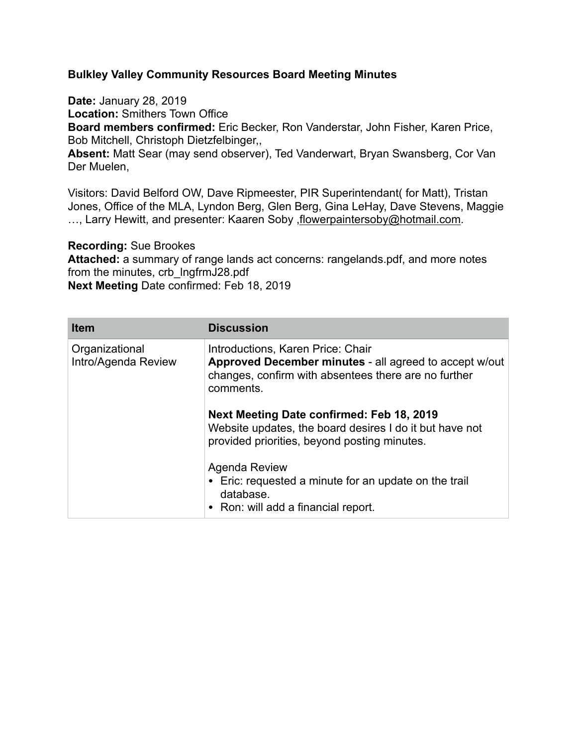## **Bulkley Valley Community Resources Board Meeting Minutes**

**Date:** January 28, 2019

**Location:** Smithers Town Office

**Board members confirmed:** Eric Becker, Ron Vanderstar, John Fisher, Karen Price, Bob Mitchell, Christoph Dietzfelbinger,,

**Absent:** Matt Sear (may send observer), Ted Vanderwart, Bryan Swansberg, Cor Van Der Muelen,

Visitors: David Belford OW, Dave Ripmeester, PIR Superintendant( for Matt), Tristan Jones, Office of the MLA, Lyndon Berg, Glen Berg, Gina LeHay, Dave Stevens, Maggie ..., Larry Hewitt, and presenter: Kaaren Soby, flowerpaintersoby@hotmail.com.

**Recording:** Sue Brookes

**Attached:** a summary of range lands act concerns: rangelands.pdf, and more notes from the minutes, crb lngfrmJ28.pdf **Next Meeting** Date confirmed: Feb 18, 2019

| <b>Item</b>                           | <b>Discussion</b>                                                                                                                                                |
|---------------------------------------|------------------------------------------------------------------------------------------------------------------------------------------------------------------|
| Organizational<br>Intro/Agenda Review | Introductions, Karen Price: Chair<br>Approved December minutes - all agreed to accept w/out<br>changes, confirm with absentees there are no further<br>comments. |
|                                       | Next Meeting Date confirmed: Feb 18, 2019<br>Website updates, the board desires I do it but have not<br>provided priorities, beyond posting minutes.             |
|                                       | Agenda Review<br>• Eric: requested a minute for an update on the trail<br>database.<br>• Ron: will add a financial report.                                       |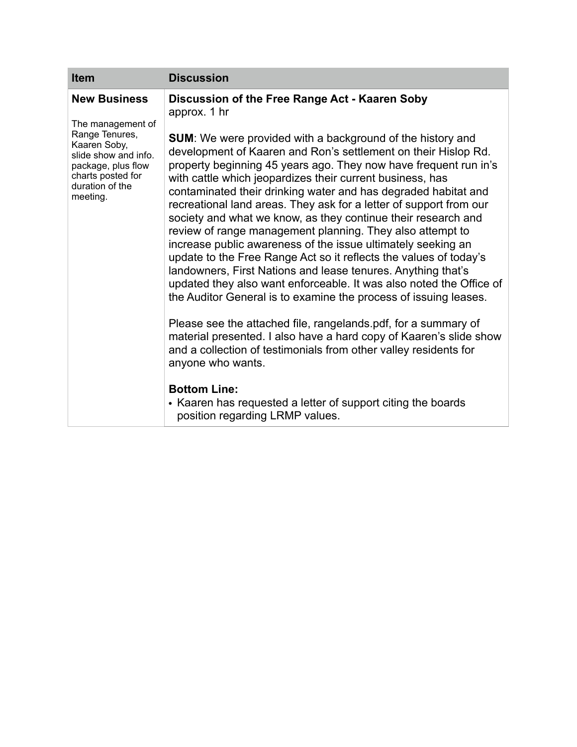| <b>Item</b>                                                                                                                                                                  | <b>Discussion</b>                                                                                                                                                                                                                                                                                                                                                                                                                                                              |
|------------------------------------------------------------------------------------------------------------------------------------------------------------------------------|--------------------------------------------------------------------------------------------------------------------------------------------------------------------------------------------------------------------------------------------------------------------------------------------------------------------------------------------------------------------------------------------------------------------------------------------------------------------------------|
| <b>New Business</b><br>The management of<br>Range Tenures,<br>Kaaren Soby,<br>slide show and info.<br>package, plus flow<br>charts posted for<br>duration of the<br>meeting. | Discussion of the Free Range Act - Kaaren Soby<br>approx. 1 hr<br><b>SUM:</b> We were provided with a background of the history and<br>development of Kaaren and Ron's settlement on their Hislop Rd.<br>property beginning 45 years ago. They now have frequent run in's<br>with cattle which jeopardizes their current business, has<br>contaminated their drinking water and has degraded habitat and<br>recreational land areas. They ask for a letter of support from our |
|                                                                                                                                                                              | society and what we know, as they continue their research and<br>review of range management planning. They also attempt to<br>increase public awareness of the issue ultimately seeking an<br>update to the Free Range Act so it reflects the values of today's<br>landowners, First Nations and lease tenures. Anything that's<br>updated they also want enforceable. It was also noted the Office of<br>the Auditor General is to examine the process of issuing leases.     |
|                                                                                                                                                                              | Please see the attached file, rangelands pdf, for a summary of<br>material presented. I also have a hard copy of Kaaren's slide show<br>and a collection of testimonials from other valley residents for<br>anyone who wants.                                                                                                                                                                                                                                                  |
|                                                                                                                                                                              | <b>Bottom Line:</b><br>• Kaaren has requested a letter of support citing the boards<br>position regarding LRMP values.                                                                                                                                                                                                                                                                                                                                                         |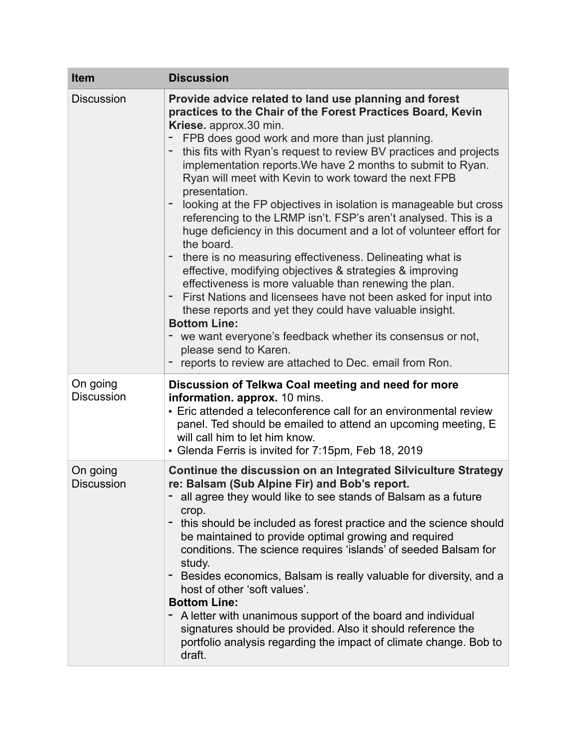| <b>Item</b>                   | <b>Discussion</b>                                                                                                                                                                                                                                                                                                                                                                                                                                                                                                                                                                                                                                                                                                                                                                                                                                                                                                                                                                                                                                                                                                                  |
|-------------------------------|------------------------------------------------------------------------------------------------------------------------------------------------------------------------------------------------------------------------------------------------------------------------------------------------------------------------------------------------------------------------------------------------------------------------------------------------------------------------------------------------------------------------------------------------------------------------------------------------------------------------------------------------------------------------------------------------------------------------------------------------------------------------------------------------------------------------------------------------------------------------------------------------------------------------------------------------------------------------------------------------------------------------------------------------------------------------------------------------------------------------------------|
| <b>Discussion</b>             | Provide advice related to land use planning and forest<br>practices to the Chair of the Forest Practices Board, Kevin<br>Kriese. approx.30 min.<br>FPB does good work and more than just planning.<br>this fits with Ryan's request to review BV practices and projects<br>implementation reports. We have 2 months to submit to Ryan.<br>Ryan will meet with Kevin to work toward the next FPB<br>presentation.<br>looking at the FP objectives in isolation is manageable but cross<br>referencing to the LRMP isn't. FSP's aren't analysed. This is a<br>huge deficiency in this document and a lot of volunteer effort for<br>the board.<br>there is no measuring effectiveness. Delineating what is<br>effective, modifying objectives & strategies & improving<br>effectiveness is more valuable than renewing the plan.<br>First Nations and licensees have not been asked for input into<br>these reports and yet they could have valuable insight.<br><b>Bottom Line:</b><br>we want everyone's feedback whether its consensus or not,<br>please send to Karen.<br>reports to review are attached to Dec. email from Ron. |
| On going<br><b>Discussion</b> | Discussion of Telkwa Coal meeting and need for more<br>information. approx. 10 mins.<br>• Eric attended a teleconference call for an environmental review<br>panel. Ted should be emailed to attend an upcoming meeting, E<br>will call him to let him know.<br>• Glenda Ferris is invited for 7:15pm, Feb 18, 2019                                                                                                                                                                                                                                                                                                                                                                                                                                                                                                                                                                                                                                                                                                                                                                                                                |
| On going<br><b>Discussion</b> | <b>Continue the discussion on an Integrated Silviculture Strategy</b><br>re: Balsam (Sub Alpine Fir) and Bob's report.<br>all agree they would like to see stands of Balsam as a future<br>crop.<br>- this should be included as forest practice and the science should<br>be maintained to provide optimal growing and required<br>conditions. The science requires 'islands' of seeded Balsam for<br>study.<br>Besides economics, Balsam is really valuable for diversity, and a<br>host of other 'soft values'.<br><b>Bottom Line:</b><br>A letter with unanimous support of the board and individual<br>signatures should be provided. Also it should reference the<br>portfolio analysis regarding the impact of climate change. Bob to<br>draft.                                                                                                                                                                                                                                                                                                                                                                             |